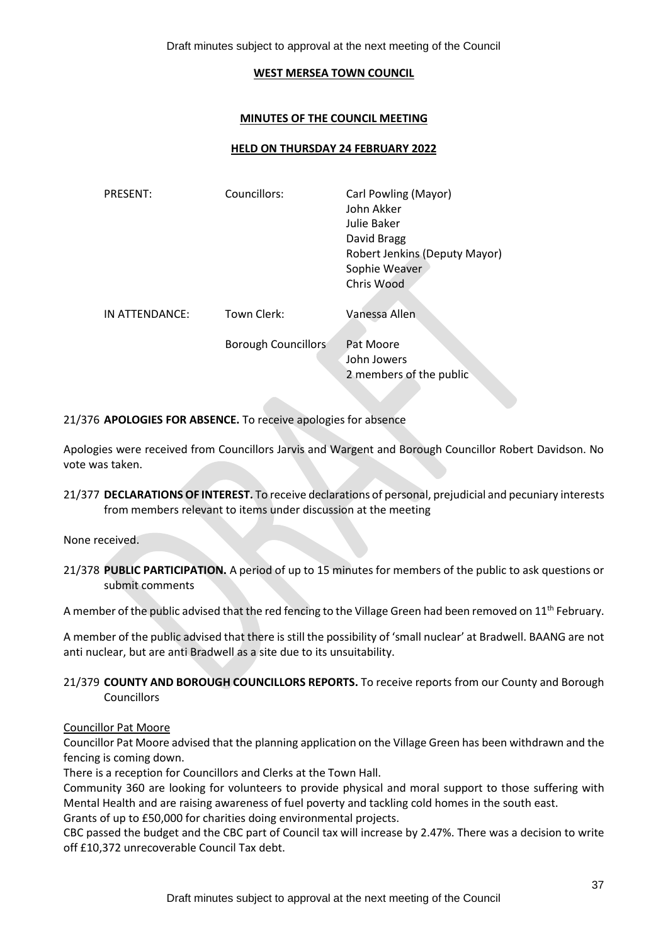Draft minutes subject to approval at the next meeting of the Council

#### **WEST MERSEA TOWN COUNCIL**

### **MINUTES OF THE COUNCIL MEETING**

### **HELD ON THURSDAY 24 FEBRUARY 2022**

| <b>PRESENT:</b> | Councillors:               | Carl Powling (Mayor)<br>John Akker<br>Julie Baker<br>David Bragg<br>Robert Jenkins (Deputy Mayor)<br>Sophie Weaver<br>Chris Wood |
|-----------------|----------------------------|----------------------------------------------------------------------------------------------------------------------------------|
| IN ATTENDANCE:  | Town Clerk:                | Vanessa Allen                                                                                                                    |
|                 | <b>Borough Councillors</b> | Pat Moore<br>John Jowers<br>2 members of the public                                                                              |

21/376 **APOLOGIES FOR ABSENCE.** To receive apologies for absence

Apologies were received from Councillors Jarvis and Wargent and Borough Councillor Robert Davidson. No vote was taken.

21/377 **DECLARATIONS OF INTEREST.** To receive declarations of personal, prejudicial and pecuniary interests from members relevant to items under discussion at the meeting

None received.

21/378 **PUBLIC PARTICIPATION.** A period of up to 15 minutes for members of the public to ask questions or submit comments

A member of the public advised that the red fencing to the Village Green had been removed on 11<sup>th</sup> February.

A member of the public advised that there is still the possibility of 'small nuclear' at Bradwell. BAANG are not anti nuclear, but are anti Bradwell as a site due to its unsuitability.

# 21/379 **COUNTY AND BOROUGH COUNCILLORS REPORTS.** To receive reports from our County and Borough Councillors

## Councillor Pat Moore

Councillor Pat Moore advised that the planning application on the Village Green has been withdrawn and the fencing is coming down.

There is a reception for Councillors and Clerks at the Town Hall.

Community 360 are looking for volunteers to provide physical and moral support to those suffering with Mental Health and are raising awareness of fuel poverty and tackling cold homes in the south east. Grants of up to £50,000 for charities doing environmental projects.

CBC passed the budget and the CBC part of Council tax will increase by 2.47%. There was a decision to write off £10,372 unrecoverable Council Tax debt.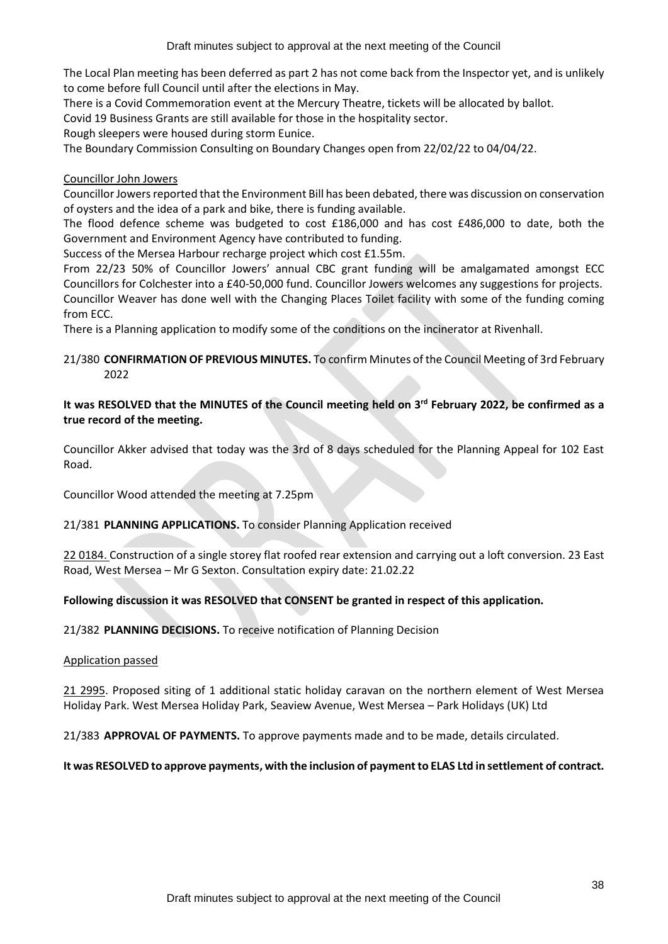The Local Plan meeting has been deferred as part 2 has not come back from the Inspector yet, and is unlikely to come before full Council until after the elections in May.

There is a Covid Commemoration event at the Mercury Theatre, tickets will be allocated by ballot.

Covid 19 Business Grants are still available for those in the hospitality sector.

Rough sleepers were housed during storm Eunice.

The Boundary Commission Consulting on Boundary Changes open from 22/02/22 to 04/04/22.

# Councillor John Jowers

Councillor Jowers reported that the Environment Bill has been debated, there was discussion on conservation of oysters and the idea of a park and bike, there is funding available.

The flood defence scheme was budgeted to cost £186,000 and has cost £486,000 to date, both the Government and Environment Agency have contributed to funding.

Success of the Mersea Harbour recharge project which cost £1.55m.

From 22/23 50% of Councillor Jowers' annual CBC grant funding will be amalgamated amongst ECC Councillors for Colchester into a £40-50,000 fund. Councillor Jowers welcomes any suggestions for projects. Councillor Weaver has done well with the Changing Places Toilet facility with some of the funding coming from ECC.

There is a Planning application to modify some of the conditions on the incinerator at Rivenhall.

# 21/380 **CONFIRMATION OF PREVIOUS MINUTES.** To confirm Minutes of the Council Meeting of 3rd February 2022

# **It was RESOLVED that the MINUTES of the Council meeting held on 3 rd February 2022, be confirmed as a true record of the meeting.**

Councillor Akker advised that today was the 3rd of 8 days scheduled for the Planning Appeal for 102 East Road.

Councillor Wood attended the meeting at 7.25pm

# 21/381 **PLANNING APPLICATIONS.** To consider Planning Application received

22 0184. Construction of a single storey flat roofed rear extension and carrying out a loft conversion. 23 East Road, West Mersea – Mr G Sexton. Consultation expiry date: 21.02.22

# **Following discussion it was RESOLVED that CONSENT be granted in respect of this application.**

21/382 **PLANNING DECISIONS.** To receive notification of Planning Decision

## Application passed

21 2995. Proposed siting of 1 additional static holiday caravan on the northern element of West Mersea Holiday Park. West Mersea Holiday Park, Seaview Avenue, West Mersea – Park Holidays (UK) Ltd

21/383 **APPROVAL OF PAYMENTS.** To approve payments made and to be made, details circulated.

# **It was RESOLVED to approve payments, with the inclusion of payment to ELAS Ltd in settlement of contract.**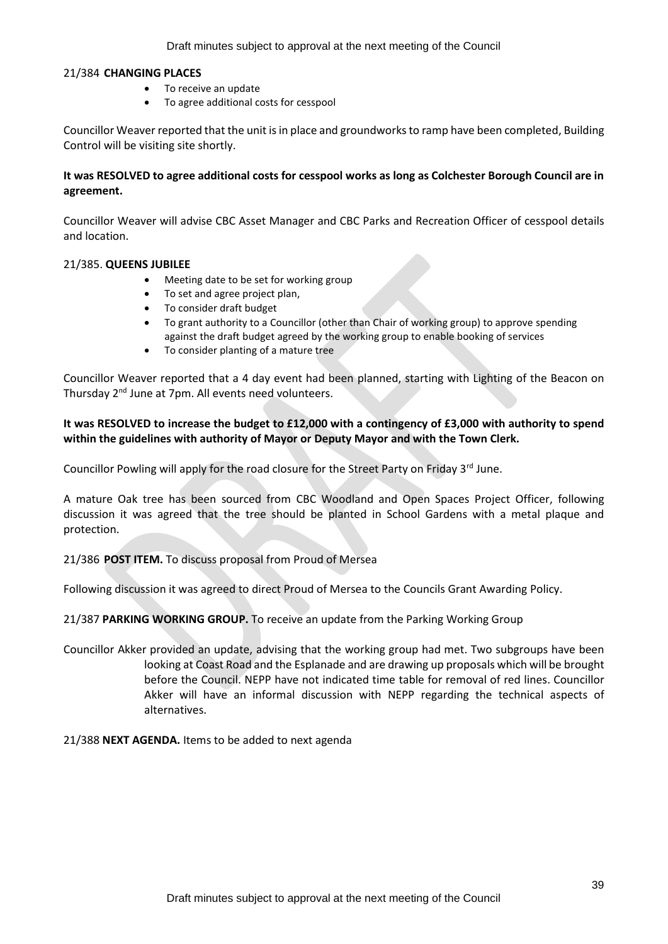Draft minutes subject to approval at the next meeting of the Council

### 21/384 **CHANGING PLACES**

- To receive an update
- To agree additional costs for cesspool

Councillor Weaver reported that the unit is in place and groundworks to ramp have been completed, Building Control will be visiting site shortly.

# **It was RESOLVED to agree additional costs for cesspool works as long as Colchester Borough Council are in agreement.**

Councillor Weaver will advise CBC Asset Manager and CBC Parks and Recreation Officer of cesspool details and location.

## 21/385. **QUEENS JUBILEE**

- Meeting date to be set for working group
- To set and agree project plan,
- To consider draft budget
- To grant authority to a Councillor (other than Chair of working group) to approve spending against the draft budget agreed by the working group to enable booking of services
- To consider planting of a mature tree

Councillor Weaver reported that a 4 day event had been planned, starting with Lighting of the Beacon on Thursday 2nd June at 7pm. All events need volunteers.

# **It was RESOLVED to increase the budget to £12,000 with a contingency of £3,000 with authority to spend within the guidelines with authority of Mayor or Deputy Mayor and with the Town Clerk.**

Councillor Powling will apply for the road closure for the Street Party on Friday 3<sup>rd</sup> June.

A mature Oak tree has been sourced from CBC Woodland and Open Spaces Project Officer, following discussion it was agreed that the tree should be planted in School Gardens with a metal plaque and protection.

21/386 **POST ITEM.** To discuss proposal from Proud of Mersea

Following discussion it was agreed to direct Proud of Mersea to the Councils Grant Awarding Policy.

21/387 **PARKING WORKING GROUP.** To receive an update from the Parking Working Group

Councillor Akker provided an update, advising that the working group had met. Two subgroups have been looking at Coast Road and the Esplanade and are drawing up proposals which will be brought before the Council. NEPP have not indicated time table for removal of red lines. Councillor Akker will have an informal discussion with NEPP regarding the technical aspects of alternatives.

21/388 **NEXT AGENDA.** Items to be added to next agenda